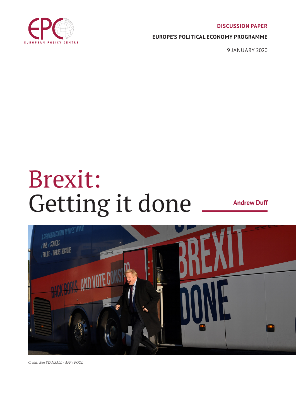#### **DISCUSSION PAPER**



#### **EUROPE'S POLITICAL ECONOMY PROGRAMME**

9 JANUARY 2020

# Brexit: Getting it done

**Andrew Duff**



*Credit: Ben STANSALL / AFP / POOL*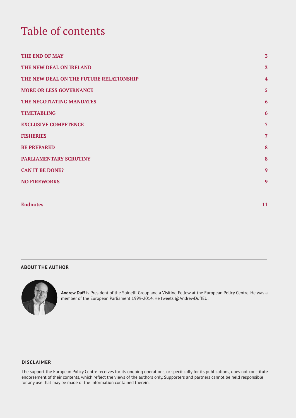# Table of contents

| THE END OF MAY                          | $\overline{3}$ |
|-----------------------------------------|----------------|
| THE NEW DEAL ON IRELAND                 | $\overline{3}$ |
| THE NEW DEAL ON THE FUTURE RELATIONSHIP | $\overline{4}$ |
| <b>MORE OR LESS GOVERNANCE</b>          | $\overline{5}$ |
| THE NEGOTIATING MANDATES                | 6              |
| <b>TIMETABLING</b>                      | 6              |
| <b>EXCLUSIVE COMPETENCE</b>             | $\overline{7}$ |
| <b>FISHERIES</b>                        | $\overline{7}$ |
| <b>BE PREPARED</b>                      | 8              |
| PARLIAMENTARY SCRUTINY                  | 8              |
| <b>CAN IT BE DONE?</b>                  | 9              |
| <b>NO FIREWORKS</b>                     | 9              |
|                                         |                |
| <b>Endnotes</b>                         | 11             |

#### **ABOUT THE AUTHOR**



**Andrew Duff** is President of the Spinelli Group and a Visiting Fellow at the European Policy Centre. He was a member of the European Parliament 1999-2014. He tweets @AndrewDuffEU.

#### **DISCLAIMER**

The support the European Policy Centre receives for its ongoing operations, or specifically for its publications, does not constitute endorsement of their contents, which reflect the views of the authors only. Supporters and partners cannot be held responsible for any use that may be made of the information contained therein.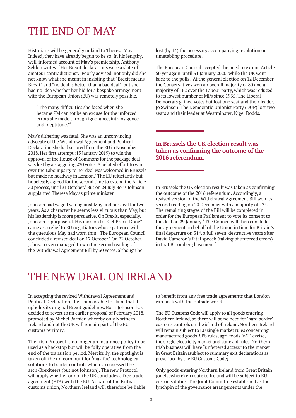# THE END OF MAY

Historians will be generally unkind to Theresa May. Indeed, they have already begun to be so. In his lengthy, well-informed account of May's premiership, Anthony Seldon writes: "Her Brexit declarations were a slate of amateur contradictions". Poorly advised, not only did she not know what she meant in insisting that "Brexit means Brexit" and "no deal is better than a bad deal", but she had no idea whether her bid for a bespoke arrangement with the European Union (EU) was remotely possible.

"The many difficulties she faced when she became PM cannot be an excuse for the unforced errors she made through ignorance, intransigence and ineptitude."<sup>2</sup>

May's dithering was fatal. She was an unconvincing advocate of the Withdrawal Agreement and Political Declaration she had secured from the EU in November 2018. Her first attempt (15 January 2019) to win the approval of the House of Commons for the package deal was lost by a staggering 230 votes. A belated effort to win over the Labour party to her deal was welcomed in Brussels but made no headway in London.<sup>3</sup> The EU reluctantly but hopelessly agreed for the second time to extend the Article 50 process, until 31 October.<sup>4</sup> But on 24 July Boris Johnson supplanted Theresa May as prime minister.

Johnson had waged war against May and her deal for two years. As a character he seems less virtuous than May, but his leadership is more persuasive. On Brexit, especially, Johnson is purposeful. His mission to "Get Brexit Done" came as a relief to EU negotiators whose patience with the querulous May had worn thin.<sup>5</sup> The European Council concluded a revised deal on 17 October. On 22 October, Johnson even managed to win the second reading of the Withdrawal Agreement Bill by 30 votes, although he

lost (by 14) the necessary accompanying resolution on timetabling procedure.

The European Council accepted the need to extend Article 50 yet again, until 31 January 2020, while the UK went back to the polls.<sup>7</sup> At the general election on 12 December the Conservatives won an overall majority of 80 and a majority of 162 over the Labour party, which was reduced to its lowest number of MPs since 1935. The Liberal Democrats gained votes but lost one seat and their leader, Jo Swinson. The Democratic Unionist Party (DUP) lost two seats and their leader at Westminster, Nigel Dodds.

#### **In Brussels the UK election result was taken as confirming the outcome of the 2016 referendum.**

In Brussels the UK election result was taken as confirming the outcome of the 2016 referendum. Accordingly, a revised version of the Withdrawal Agreement Bill won its second reading on 20 December with a majority of 124. The remaining stages of the Bill will be completed in order for the European Parliament to vote its consent to the deal on 29 January.<sup>8</sup> The Council will then conclude the agreement on behalf of the Union in time for Britain's final departure on  $51<sup>st</sup>$ , a full seven, destructive years after David Cameron's fatal speech (talking of unforced errors) in that Bloomberg basement.<sup>9</sup>

### THE NEW DEAL ON IRELAND

In accepting the revised Withdrawal Agreement and Political Declaration, the Union is able to claim that it upholds its original Brexit guidelines. Boris Johnson has decided to revert to an earlier proposal of February 2018, promoted by Michel Barnier, whereby only Northern Ireland and not the UK will remain part of the EU customs territory.

The Irish Protocol is no longer an insurance policy to be used as a backstop but will be fully operative from the end of the transition period. Mercifully, the spotlight is taken off the unicorn hunt for 'max fac' technological solutions to border controls which so obsessed the arch-Brexiteers (but not Johnson). The new Protocol will apply whether or not the UK concludes a free trade agreement (FTA) with the EU. As part of the British customs union, Northern Ireland will therefore be liable to benefit from any free trade agreements that London can hack with the outside world.

The EU Customs Code will apply to all goods entering Northern Ireland, so there will be no need for 'hard border' customs controls on the island of Ireland. Northern Ireland will remain subject to EU single market rules concerning manufactured goods, SPS rules, agri-foods, VAT, excise, the single electricity market and state aid rules. Northern Irish business will have "unfettered access" to the market in Great Britain (subject to summary exit declarations as prescribed by the EU Customs Code).

Only goods entering Northern Ireland from Great Britain (or elsewhere) en route to Ireland will be subject to EU customs duties. The Joint Committee established as the lynchpin of the governance arrangements under the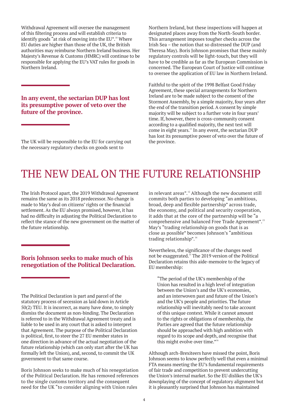Withdrawal Agreement will oversee the management of this filtering process and will establish criteria to identify goods "at risk of moving into the EU".<sup>10</sup> Where EU duties are higher than those of the UK, the British authorities may reimburse Northern Ireland business. Her Majesty's Revenue & Customs (HMRC) will continue to be responsible for applying the EU's VAT rules for goods in Northern Ireland.

**In any event, the sectarian DUP has lost its presumptive power of veto over the future of the province.**

The UK will be responsible to the EU for carrying out the necessary regulatory checks on goods sent to

Northern Ireland, but these inspections will happen at designated places away from the North-South border. This arrangement imposes tougher checks across the Irish Sea – the notion that so distressed the DUP (and Theresa May). Boris Johnson promises that these mainly regulatory controls will be light-touch, but they will have to be credible as far as the European Commission is concerned. The European Court of Justice will continue to oversee the application of EU law in Northern Ireland.

Faithful to the spirit of the 1998 Belfast Good Friday Agreement, these special arrangements for Northern Ireland are to be made subject to the consent of the Stormont Assembly, by a simple majority, four years after the end of the transition period. A consent by simple majority will be subject to a further vote in four years' time. If, however, there is cross-community consent according to a qualified majority, the next test will come in eight years.<sup>11</sup> In any event, the sectarian DUP has lost its presumptive power of veto over the future of the province.

# THE NEW DEAL ON THE FUTURE RELATIONSHIP

The Irish Protocol apart, the 2019 Withdrawal Agreement remains the same as its 2018 predecessor. No change is made to May's deal on citizens' rights or the financial settlement. As the EU always promised, however, it has had no difficulty in adjusting the Political Declaration to reflect the stance of the new government on the matter of the future relationship.

#### **Boris Johnson seeks to make much of his renegotiation of the Political Declaration.**

The Political Declaration is part and parcel of the statutory process of secession as laid down in Article 50(2) TEU. It is incorrect, as many have done, to simply dismiss the document as non-binding. The Declaration is referred to in the Withdrawal Agreement treaty and is liable to be used in any court that is asked to interpret that Agreement. The purpose of the Political Declaration is political, first, to steer the 27 EU member states in one direction in advance of the actual negotiation of the future relationship (which can only start after the UK has formally left the Union), and, second, to commit the UK government to that same course.

Boris Johnson seeks to make much of his renegotiation of the Political Declaration. He has removed references to the single customs territory and the consequent need for the UK "to consider aligning with Union rules

in relevant areas".<sup>12</sup> Although the new document still commits both parties to developing "an ambitious, broad, deep and flexible partnership" across trade, the economy, and political and security cooperation, it adds that at the core of the partnership will be "a comprehensive and balanced Free Trade Agreement".<sup>13</sup> May's "trading relationship on goods that is as close as possible" becomes Johnson's "ambitious trading relationship".<sup>14</sup>

Nevertheless, the significance of the changes need not be exaggerated.<sup>15</sup> The 2019 version of the Political Declaration retains this aide-memoire to the legacy of EU membership:

"The period of the UK's membership of the Union has resulted in a high level of integration between the Union's and the UK's economies, and an interwoven past and future of the Union's and the UK's people and priorities. The future relationship will inevitably need to take account of this unique context. While it cannot amount to the rights or obligations of membership, the Parties are agreed that the future relationship should be approached with high ambition with regard to its scope and depth, and recognise that this might evolve over time."<sup>16</sup>

Although arch-Brexiteers have missed the point, Boris Johnson seems to know perfectly well that even a minimal FTA means meeting the EU's fundamental requirements of fair trade and competition to prevent undercutting the Union's internal market. So the EU dislikes the UK's downplaying of the concept of regulatory alignment but it is pleasantly surprised that Johnson has maintained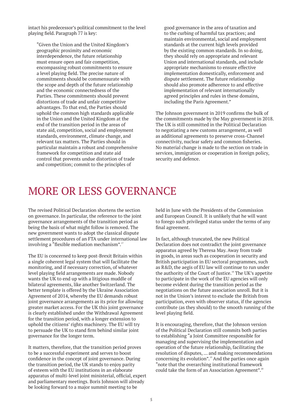intact his predecessor's political commitment to the level playing field. Paragraph 77 is key:

"Given the Union and the United Kingdom's geographic proximity and economic interdependence, the future relationship must ensure open and fair competition, encompassing robust commitments to ensure a level playing field. The precise nature of commitments should be commensurate with the scope and depth of the future relationship and the economic connectedness of the Parties. These commitments should prevent distortions of trade and unfair competitive advantages. To that end, the Parties should uphold the common high standards applicable in the Union and the United Kingdom at the end of the transition period in the areas of state aid, competition, social and employment standards, environment, climate change, and relevant tax matters. The Parties should in particular maintain a robust and comprehensive framework for competition and state aid control that prevents undue distortion of trade and competition; commit to the principles of

good governance in the area of taxation and to the curbing of harmful tax practices; and maintain environmental, social and employment standards at the current high levels provided by the existing common standards. In so doing, they should rely on appropriate and relevant Union and international standards, and include appropriate mechanisms to ensure effective implementation domestically, enforcement and dispute settlement. The future relationship should also promote adherence to and effective implementation of relevant internationally agreed principles and rules in these domains, including the Paris Agreement."

The Johnson government in 2019 confirms the bulk of the commitments made by the May government in 2018. The UK is still committed in the Political Declaration to negotiating a new customs arrangement, as well as additional agreements to preserve cross-Channel connectivity, nuclear safety and common fisheries. No material change is made to the section on trade in services, immigration or cooperation in foreign policy, security and defence.

# MORE OR LESS GOVERNANCE

The revised Political Declaration shortens the section on governance. In particular, the reference to the joint governance arrangements of the transition period as being the basis of what might follow is removed. The new government wants to adopt the classical dispute settlement procedures of an FTA under international law involving a "flexible mediation mechanism".<sup>17</sup>

The EU is concerned to keep post-Brexit Britain within a single coherent legal system that will facilitate the monitoring, and if necessary correction, of whatever level playing field arrangements are made. Nobody wants the UK to end up with a litigious muddle of bilateral agreements, like another Switzerland. The better template is offered by the Ukraine Association Agreement of 2014, whereby the EU demands robust joint governance arrangements as its price for allowing greater market access. For the UK this joint governance is clearly established under the Withdrawal Agreement for the transition period, with a longer extension to uphold the citizens' rights machinery. The EU will try to persuade the UK to stand firm behind similar joint governance for the longer term.

It matters, therefore, that the transition period proves to be a successful experiment and serves to boost confidence in the concept of joint governance. During the transition period, the UK stands to enjoy parity of esteem with the EU institutions in an elaborate apparatus of multi-level joint ministerial, official, expert and parliamentary meetings. Boris Johnson will already be looking forward to a major summit meeting to be

held in June with the Presidents of the Commission and European Council. It is unlikely that he will want to forego such privileged status under the terms of any final agreement.

In fact, although truncated, the new Political Declaration does not contradict the joint governance apparatus agreed by Theresa May. Away from trade in goods, in areas such as cooperation in security and British participation in EU sectoral programmes, such as R&D, the aegis of EU law will continue to run under the authority of the Court of Justice.<sup>18</sup> The UK's appetite to participate in the work of the EU agencies will only become evident during the transition period as the negotiations on the future association unroll. But it is not in the Union's interest to exclude the British from participation, even with observer status, if the agencies contribute (as they should) to the smooth running of the level playing field.

It is encouraging, therefore, that the Johnson version of the Political Declaration still commits both parties to establishing "a Joint Committee responsible for managing and supervising the implementation and operation of the future relationship, facilitating the resolution of disputes, … and making recommendations concerning its evolution".<sup>19</sup> And the parties once again "note that the overarching institutional framework could take the form of an Association Agreement".<sup>20</sup>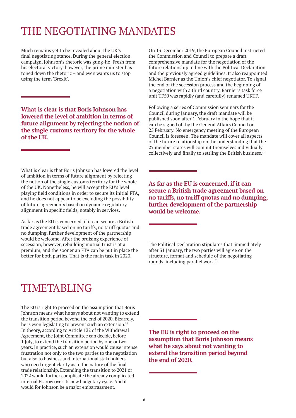# THE NEGOTIATING MANDATES

Much remains yet to be revealed about the UK's final negotiating stance. During the general election campaign, Johnson's rhetoric was gung-ho. Fresh from his electoral victory, however, the prime minister has toned down the rhetoric – and even wants us to stop using the term 'Brexit'.

**What is clear is that Boris Johnson has lowered the level of ambition in terms of future alignment by rejecting the notion of the single customs territory for the whole of the UK.**

What is clear is that Boris Johnson has lowered the level of ambition in terms of future alignment by rejecting the notion of the single customs territory for the whole of the UK. Nonetheless, he will accept the EU's level playing field conditions in order to secure its initial FTA, and he does not appear to be excluding the possibility of future agreements based on dynamic regulatory alignment in specific fields, notably in services.

As far as the EU is concerned, if it can secure a British trade agreement based on no tariffs, no tariff quotas and no dumping, further development of the partnership would be welcome. After the bruising experience of secession, however, rebuilding mutual trust is at a premium, and the sooner an FTA can be put in place the better for both parties. That is the main task in 2020.

On 13 December 2019, the European Council instructed the Commission and Council to prepare a draft comprehensive mandate for the negotiation of the future relationship in line with the Political Declaration and the previously agreed guidelines. It also reappointed Michel Barnier as the Union's chief negotiator. To signal the end of the secession process and the beginning of a negotiation with a third country, Barnier's task force unit TF50 was rapidly (and carefully) renamed UKTF.

Following a series of Commission seminars for the Council during January, the draft mandate will be published soon after 1 February in the hope that it can be signed off by the General Affairs Council on 25 February. No emergency meeting of the European Council is foreseen. The mandate will cover all aspects of the future relationship on the understanding that the 27 member states will commit themselves individually, collectively and finally to settling the British business.<sup>2</sup>

**As far as the EU is concerned, if it can secure a British trade agreement based on no tariffs, no tariff quotas and no dumping, further development of the partnership would be welcome.**

The Political Declaration stipulates that, immediately after 31 January, the two parties will agree on the structure, format and schedule of the negotiating rounds, including parallel work. $22$ 

# TIMETABLING

The EU is right to proceed on the assumption that Boris Johnson means what he says about not wanting to extend the transition period beyond the end of 2020. Bizarrely, he is even legislating to prevent such an extension.<sup>23</sup> In theory, according to Article 132 of the Withdrawal Agreement, the Joint Committee can decide, before 1 July, to extend the transition period by one or two years. In practice, such an extension would cause intense frustration not only to the two parties to the negotiation but also to business and international stakeholders who need urgent clarity as to the nature of the final trade relationship. Extending the transition to 2021 or 2022 would further complicate the already complicated internal EU row over its new budgetary cycle. And it would for Johnson be a major embarrassment.

**The EU is right to proceed on the assumption that Boris Johnson means what he says about not wanting to extend the transition period beyond the end of 2020.**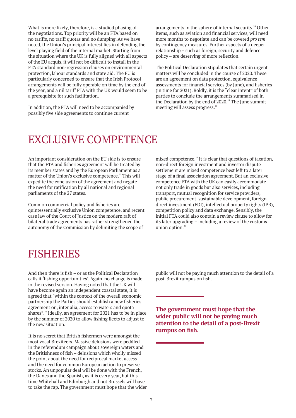What is more likely, therefore, is a studied phasing of the negotiations. Top priority will be an FTA based on no tariffs, no tariff quotas and no dumping. As we have noted, the Union's principal interest lies in defending the level playing field of the internal market. Starting from the situation where the UK is fully aligned with all aspects of the EU acquis, it will not be difficult to install in the FTA standard non-regression clauses on environmental protection, labour standards and state aid. The EU is particularly concerned to ensure that the Irish Protocol arrangements will be fully operable on time by the end of the year, and a nil tariff FTA with the UK would seem to be a prerequisite for such facilitation.

In addition, the FTA will need to be accompanied by possibly five side agreements to continue current

arrangements in the sphere of internal security.<sup>24</sup> Other items, such as aviation and financial services, will need more months to negotiate and can be covered *pro tem* by contingency measures. Further aspects of a deeper relationship – such as foreign, security and defence policy – are deserving of more reflection.

The Political Declaration stipulates that certain urgent matters will be concluded in the course of 2020. These are an agreement on data protection, equivalence assessments for financial services (by June), and fisheries (in time for 2021). Boldly, it is the "clear intent" of both parties to conclude the arrangements summarised in the Declaration by the end of  $2020$ .<sup>25</sup> The June summit meeting will assess progress.<sup>26</sup>

### EXCLUSIVE COMPETENCE

An important consideration on the EU side is to ensure that the FTA and fisheries agreement will be treated by its member states and by the European Parliament as a matter of the Union's exclusive competence.<sup>27</sup> This will expedite the conclusion of the agreement and negate the need for ratification by all national and regional parliaments of the 27 states.

Common commercial policy and fisheries are quintessentially exclusive Union competence, and recent case law of the Court of Justice on the modern raft of bilateral trade agreements has rather strengthened the autonomy of the Commission by delimiting the scope of

mixed competence.<sup>28</sup> It is clear that questions of taxation, non-direct foreign investment and investor dispute settlement are mixed competence best left to a later stage of a final association agreement. But an exclusive competence FTA with the UK can easily accommodate not only trade in goods but also services, including transport, mutual recognition for service providers, public procurement, sustainable development, foreign direct investment (FDI), intellectual property rights (IPR), competition policy and data exchange. Sensibly, the initial FTA could also contain a review clause to allow for its later upgrading – including a review of the customs union option.<sup>29</sup>

### FISHERIES

And then there is fish – or as the Political Declaration calls it 'fishing opportunities'. Again, no change is made in the revised version. Having noted that the UK will have become again an independent coastal state, it is agreed that "within the context of the overall economic partnership the Parties should establish a new fisheries agreement on, inter alia, access to waters and quota shares".<sup>30</sup> Ideally, an agreement for 2021 has to be in place by the summer of 2020 to allow fishing fleets to adjust to the new situation.

It is no secret that British fishermen were amongst the most vocal Brexiteers. Massive delusions were peddled in the referendum campaign about sovereign waters and the Britishness of fish – delusions which wholly missed the point about the need for reciprocal market access and the need for common European action to preserve stocks. An unpopular deal will be done with the French, the Danes and the Spanish, as it is every year, but this time Whitehall and Edinburgh and not Brussels will have to take the rap. The government must hope that the wider public will not be paying much attention to the detail of a post-Brexit rumpus on fish.

**The government must hope that the wider public will not be paying much attention to the detail of a post-Brexit rumpus on fish.**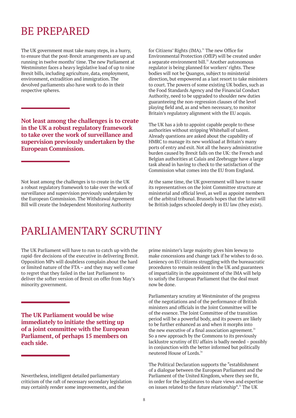### BE PREPARED

The UK government must take many steps, in a hurry, to ensure that the post-Brexit arrangements are up and running in twelve months' time. The new Parliament at Westminster faces a heavy legislative load of up to nine Brexit bills, including agriculture, data, employment, environment, extradition and immigration. The devolved parliaments also have work to do in their respective spheres.

**Not least among the challenges is to create in the UK a robust regulatory framework to take over the work of surveillance and supervision previously undertaken by the European Commission.**

Not least among the challenges is to create in the UK a robust regulatory framework to take over the work of surveillance and supervision previously undertaken by the European Commission. The Withdrawal Agreement Bill will create the Independent Monitoring Authority

for Citizens' Rights (IMA).<sup>31</sup> The new Office for Environmental Protection (OfEP) will be created under a separate environment bill. $32$  Another autonomous regulator is being planned for workers' rights. These bodies will not be Quangos, subject to ministerial direction, but empowered as a last resort to take ministers to court. The powers of some existing UK bodies, such as the Food Standards Agency and the Financial Conduct Authority, need to be upgraded to shoulder new duties guaranteeing the non-regression clauses of the level playing field and, as and when necessary, to monitor Britain's regulatory alignment with the EU acquis.

The UK has a job to appoint capable people to these authorities without stripping Whitehall of talent. Already questions are asked about the capability of HMRC to manage its new workload at Britain's many ports of entry and exit. Not all the heavy administrative burden caused by Brexit falls on the UK: the French and Belgian authorities at Calais and Zeebrugge have a large task ahead in having to check to the satisfaction of the Commission what comes into the EU from England.

At the same time, the UK government will have to name its representatives on the Joint Committee structure at ministerial and official level, as well as appoint members of the arbitral tribunal. Brussels hopes that the latter will be British judges schooled deeply in EU law (they exist).

### PARLIAMENTARY SCRUTINY

The UK Parliament will have to run to catch up with the rapid-fire decisions of the executive in delivering Brexit. Opposition MPs will doubtless complain about the hard or limited nature of the FTA – and they may well come to regret that they failed in the last Parliament to deliver the softer version of Brexit on offer from May's minority government.

**The UK Parliament would be wise immediately to initiate the setting up of a joint committee with the European Parliament, of perhaps 15 members on each side.**

Nevertheless, intelligent detailed parliamentary criticism of the raft of necessary secondary legislation may certainly render some improvements, and the

prime minister's large majority gives him leeway to make concessions and change tack if he wishes to do so. Leniency on EU citizens struggling with the bureaucratic procedures to remain resident in the UK and guarantees of impartiality in the appointment of the IMA will help to satisfy the European Parliament that the deal must now be done.

Parliamentary scrutiny at Westminster of the progress of the negotiations and of the performance of British ministers and officials in the Joint Committee will be of the essence. The Joint Committee of the transition period will be a powerful body, and its powers are likely to be further enhanced as and when it morphs into the new executive of a final association agreement. $33$ So a new approach by the Commons to its previously lacklustre scrutiny of EU affairs is badly needed – possibly in conjunction with the better informed but politically neutered House of Lords<sup>34</sup>

The Political Declaration supports the "establishment of a dialogue between the European Parliament and the Parliament of the United Kingdom, where they see fit, in order for the legislatures to share views and expertise on issues related to the future relationship".<sup>35</sup> The UK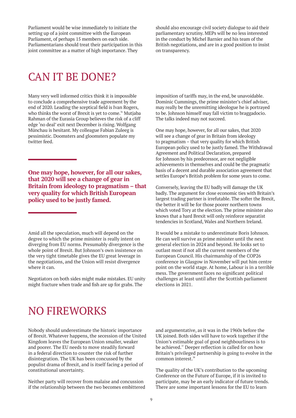Parliament would be wise immediately to initiate the setting up of a joint committee with the European Parliament, of perhaps 15 members on each side. Parliamentarians should treat their participation in this joint committee as a matter of high importance. They

should also encourage civil society dialogue to aid their parliamentary scrutiny. MEPs will be no less interested in the conduct by Michel Barnier and his team of the British negotiations, and are in a good position to insist on transparency.

# CAN IT BE DONE?

Many very well informed critics think it is impossible to conclude a comprehensive trade agreement by the end of 2020. Leading the sceptical field is Ivan Rogers, who thinks the worst of Brexit is yet to come.<sup>36</sup> Mutjaba Rahman of the Eurasia Group believes the risk of a cliff edge 'no deal' exit next December is rising. Wolfgang Münchau is hesitant. My colleague Fabian Zuleeg is pessimistic. Doomsters and gloomsters populate my twitter feed.

**One may hope, however, for all our sakes, that 2020 will see a change of gear in Britain from ideology to pragmatism – that very quality for which British European policy used to be justly famed.**

Amid all the speculation, much will depend on the degree to which the prime minister is really intent on diverging from EU norms. Presumably divergence is the whole point of Brexit. But Johnson's own insistence on the very tight timetable gives the EU great leverage in the negotiations, and the Union will resist divergence where it can.

Negotiators on both sides might make mistakes. EU unity might fracture when trade and fish are up for grabs. The

imposition of tariffs may, in the end, be unavoidable. Dominic Cummings, the prime minister's chief adviser, may really be the unremitting ideologue he is portrayed to be. Johnson himself may fall victim to braggadocio. The talks indeed may not succeed.

One may hope, however, for all our sakes, that 2020 will see a change of gear in Britain from ideology to pragmatism – that very quality for which British European policy used to be justly famed. The Withdrawal Agreement and Political Declaration, prepared for Johnson by his predecessor, are not negligible achievements in themselves and could be the pragmatic basis of a decent and durable association agreement that settles Europe's British problem for some years to come.

Conversely, leaving the EU badly will damage the UK badly. The argument for close economic ties with Britain's largest trading partner is irrefutable. The softer the Brexit, the better it will be for those poorer northern towns which voted Tory at the election. The prime minister also knows that a hard Brexit will only reinforce separatist tendencies in Scotland, Wales and Northern Ireland.

It would be a mistake to underestimate Boris Johnson. He can well survive as prime minister until the next general election in 2024 and beyond. He looks set to outlast most if not all the current members of the European Council. His chairmanship of the COP26 conference in Glasgow in November will put him centre point on the world stage. At home, Labour is in a terrible mess. The government faces no significant political challenges at least until after the Scottish parliament elections in 2021.

# NO FIREWORKS

Nobody should underestimate the historic importance of Brexit. Whatever happens, the secession of the United Kingdom leaves the European Union smaller, weaker and poorer. The EU needs to move steadily forward in a federal direction to counter the risk of further disintegration. The UK has been concussed by the populist drama of Brexit, and is itself facing a period of constitutional uncertainty.

Neither party will recover from malaise and concussion if the relationship between the two becomes embittered

and argumentative, as it was in the 1960s before the UK joined. Both sides will have to work together if the Union's estimable goal of good neighbourliness is to be achieved.<sup>37</sup> Deeper reflection is called for on how Britain's privileged partnership is going to evolve in the common interest.<sup>38</sup>

The quality of the UK's contribution to the upcoming Conference on the Future of Europe, if it is invited to participate, may be an early indicator of future trends. There are some important lessons for the EU to learn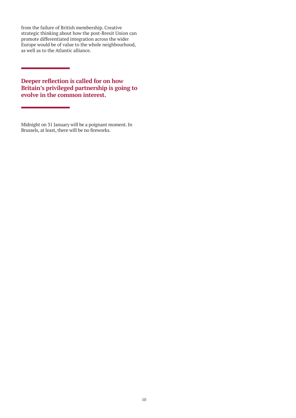from the failure of British membership. Creative strategic thinking about how the post-Brexit Union can promote differentiated integration across the wider Europe would be of value to the whole neighbourhood, as well as to the Atlantic alliance.

**Deeper reflection is called for on how Britain's privileged partnership is going to evolve in the common interest.**

Midnight on 31 January will be a poignant moment. In Brussels, at least, there will be no fireworks.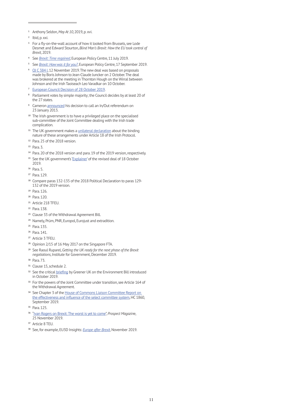- Anthony Seldon, *May At 10*, 2019, p. xvi.
- Ibid, p. xxi.
- For a fly-on-the-wall account of how it looked from Brussels, see Lode Desmet and Edward Stourton, *Blind Man's Brexit: How the EU took control of Brexit*, 2019.
- See *[Brexit: Time regained](https://www.epc.eu/en/publications/Brexit-Time-regained~26d374)*, European Policy Centre, 11 July 2019.
- See *[Brexit: How was it for you?](https://www.epc.eu/en/publications/Brexit-How-was-it-for-you~26e6fc)*, European Policy Centre, 17 September 2019.
- [OJ C 384 I,](https://assets.publishing.service.gov.uk/government/uploads/system/uploads/attachment_data/file/836029/PM_letter_to_Juncker.pdf) 12 November 2019. The new deal was based on proposals made by Boris Johnson to Jean-Claude Juncker on 2 October. The deal was brokered at the meeting in Thornton Hough on the Wirral between Johnson and the Irish Taoiseach Leo Varadkar on 10 October.
- [European Council Decision of 28 October 2019.](https://data.consilium.europa.eu/doc/document/XT-20024-2019-REV-2/en/pdf)
- Parliament votes by simple majority; the Council decides by at least 20 of the 27 states.
- Cameron [announced](https://www.gov.uk/government/speeches/eu-speech-at-bloomberg) his decision to call an In/Out referendum on 23 January 2013.
- The Irish government is to have a privileged place on the specialised sub-committee of the Joint Committee dealing with the Irish trade complication.
- The UK government makes a [unilateral declaration](https://assets.publishing.service.gov.uk/government/uploads/system/uploads/attachment_data/file/840232/Unilateral_Declaration_on_Consent.pdf) about the binding nature of these arrangements under Article 18 of the Irish Protocol.
- Para. 25 of the 2018 version.
- Para. 3.
- Para. 20 of the 2018 version and para. 19 of the 2019 version, respectively.
- <sup>15</sup> See the UK government's '[Explainer'](https://assets.publishing.service.gov.uk/government/uploads/system/uploads/attachment_data/file/840653/EXPLAINER_FOR_THE_NEW_IRELAND_NORTHERN_IRELAND_PROTOCOL_AND_THE_POLITICAL_DECLARATION_ON_THE_FUTURE_RELATIONSHIP.pdf) of the revised deal of 18 October 2019.
- Para. 5.
- Para. 129.
- Compare paras 132-135 of the 2018 Political Declaration to paras 129- 132 of the 2019 version.
- Para. 126.
- Para. 120.
- Article 218 TFEU.
- Para. 138.
- Clause 33 of the Withdrawal Agreement Bill.
- Namely, Prüm, PNR, Europol, Eurojust and extradition.
- Para. 135.
- Para. 141.
- Article 3 TFEU.
- Opinion 2/15 of 16 May 2017 on the Singapore FTA.
- See Raoul Ruparel, *Getting the UK ready for the next phase of the Brexit negotiations*, Institute for Government, December 2019.
- Para. 73.
- Clause 15, schedule 2.
- <sup>32</sup> See the critical [briefing](https://greeneruk.org/sites/default/files/download/2019-10/GreenerUK_LINK_Environment_Bill_briefing_2nd_reading.pdf) by Greener UK on the Environment Bill introduced in October 2019.
- <sup>33</sup> For the powers of the Joint Committee under transition, see Article 164 of the Withdrawal Agreement.
- See Chapter 3 of the [House of Commons Liaison Committee Report on](https://publications.parliament.uk/pa/cm201719/cmselect/cmliaisn/1860/186006.htm#_idTextAnchor068)  [the effectiveness and influence of the select committee system](https://publications.parliament.uk/pa/cm201719/cmselect/cmliaisn/1860/186006.htm#_idTextAnchor068), HC 1860, September 2019.
- Para. 125.
- "[Ivan Rogers on Brexit: The worst is yet to come](https://www.prospectmagazine.co.uk/politics/ivan-rogers-on-brexit-the-worst-is-yet-to-come-eu-trade-deal-boris-johnson-labour-election-speech-glasgow)", *Prospect Magazin*e, 25 November 2019.
- Article 8 TEU.
- See, for example, EU3D Insights: *[Europe after Brexit](https://www.eu3d.uio.no/publications/eu3d-insights/eu3d-insights-nov-2019-europe-after-brexit.html)*, November 2019.